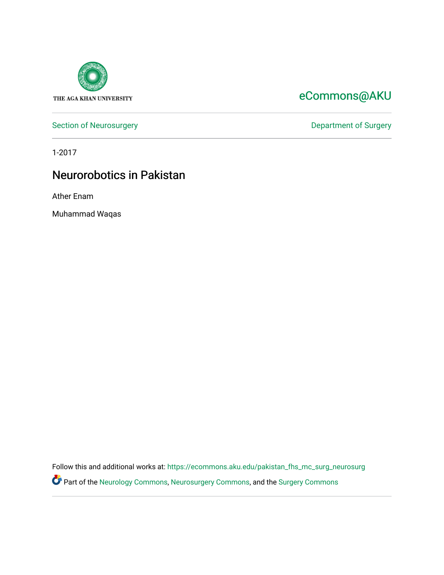

## [eCommons@AKU](https://ecommons.aku.edu/)

[Section of Neurosurgery](https://ecommons.aku.edu/pakistan_fhs_mc_surg_neurosurg) **Department of Surgery** Department of Surgery

1-2017

## Neurorobotics in Pakistan

Ather Enam

Muhammad Waqas

Follow this and additional works at: [https://ecommons.aku.edu/pakistan\\_fhs\\_mc\\_surg\\_neurosurg](https://ecommons.aku.edu/pakistan_fhs_mc_surg_neurosurg?utm_source=ecommons.aku.edu%2Fpakistan_fhs_mc_surg_neurosurg%2F244&utm_medium=PDF&utm_campaign=PDFCoverPages)  Part of the [Neurology Commons](http://network.bepress.com/hgg/discipline/692?utm_source=ecommons.aku.edu%2Fpakistan_fhs_mc_surg_neurosurg%2F244&utm_medium=PDF&utm_campaign=PDFCoverPages), [Neurosurgery Commons](http://network.bepress.com/hgg/discipline/1428?utm_source=ecommons.aku.edu%2Fpakistan_fhs_mc_surg_neurosurg%2F244&utm_medium=PDF&utm_campaign=PDFCoverPages), and the [Surgery Commons](http://network.bepress.com/hgg/discipline/706?utm_source=ecommons.aku.edu%2Fpakistan_fhs_mc_surg_neurosurg%2F244&utm_medium=PDF&utm_campaign=PDFCoverPages)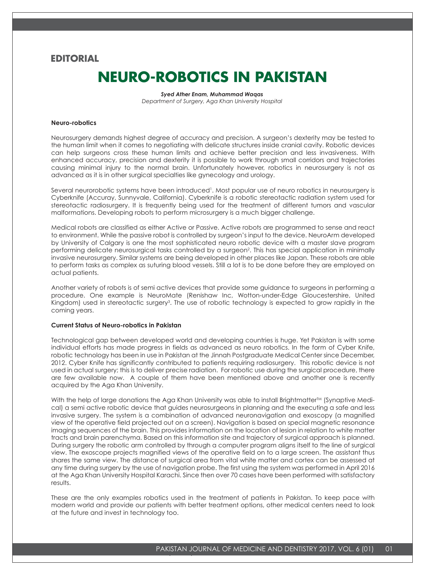### **EDITORIAL**

# **NEURO-ROBOTICS IN PAKISTAN**

*Syed Ather Enam, Muhammad Waqas Department of Surgery, Aga Khan University Hospital*

### **Neuro-robotics**

Neurosurgery demands highest degree of accuracy and precision. A surgeon's dexterity may be tested to the human limit when it comes to negotiating with delicate structures inside cranial cavity. Robotic devices can help surgeons cross these human limits and achieve better precision and less invasiveness. With enhanced accuracy, precision and dexterity it is possible to work through small corridors and trajectories causing minimal injury to the normal brain. Unfortunately however, robotics in neurosurgery is not as advanced as it is in other surgical specialties like gynecology and urology.

Several neurorobotic systems have been introduced<sup>1</sup>. Most popular use of neuro robotics in neurosurgery is Cyberknife (Accuray, Sunnyvale, California). Cyberknife is a robotic stereotactic radiation system used for stereotactic radiosurgery. It is frequently being used for the treatment of different tumors and vascular malformations. Developing robots to perform microsurgery is a much bigger challenge.

Medical robots are classified as either Active or Passive. Active robots are programmed to sense and react to environment. While the passive robot is controlled by surgeon's input to the device. NeuroArm developed by University of Calgary is one the most sophisticated neuro robotic device with a master slave program performing delicate neurosurgical tasks controlled by a surgeon<sup>2</sup>. This has special application in minimally invasive neurosurgery. Similar systems are being developed in other places like Japan. These robots are able to perform tasks as complex as suturing blood vessels. Still a lot is to be done before they are employed on actual patients.

Another variety of robots is of semi active devices that provide some guidance to surgeons in performing a procedure. One example is NeuroMate (Renishaw Inc, Wotton-under-Edge Gloucestershire, United Kingdom) used in stereotactic surgery<sup>3</sup>. The use of robotic technology is expected to grow rapidly in the coming years.

#### **Current Status of Neuro-robotics in Pakistan**

Technological gap between developed world and developing countries is huge. Yet Pakistan is with some individual efforts has made progress in fields as advanced as neuro robotics. In the form of Cyber Knife, robotic technology has been in use in Pakistan at the Jinnah Postgraduate Medical Center since December, 2012. Cyber Knife has significantly contributed to patients requiring radiosurgery. This robotic device is not used in actual surgery; this is to deliver precise radiation. For robotic use during the surgical procedure, there are few available now. A couple of them have been mentioned above and another one is recently acquired by the Aga Khan University.

With the help of large donations the Aga Khan University was able to install Brightmatter<sup>TM</sup> (Synaptive Medical) a semi active robotic device that guides neurosurgeons in planning and the executing a safe and less invasive surgery. The system is a combination of advanced neuronavigation and exoscopy (a magnified view of the operative field projected out on a screen). Navigation is based on special magnetic resonance imaging sequences of the brain. This provides information on the location of lesion in relation to white matter tracts and brain parenchyma. Based on this information site and trajectory of surgical approach is planned. During surgery the robotic arm controlled by through a computer program aligns itself to the line of surgical view. The exoscope projects magnified views of the operative field on to a large screen. The assistant thus shares the same view. The distance of surgical area from vital white matter and cortex can be assessed at any time during surgery by the use of navigation probe. The first using the system was performed in April 2016 at the Aga Khan University Hospital Karachi. Since then over 70 cases have been performed with satisfactory results.

These are the only examples robotics used in the treatment of patients in Pakistan. To keep pace with modern world and provide our patients with better treatment options, other medical centers need to look at the future and invest in technology too.